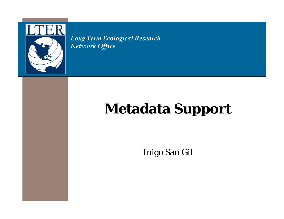

*Long Term Ecological Research Network Office*

# **Metadata Support**

Inigo San Gil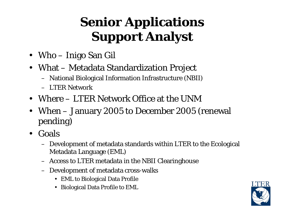# **Senior Applications Support Analyst**

- Who Inigo San Gil
- What Metadata Standardization Project
	- National Biological Information Infrastructure (NBII)
	- LTER Network
- Where LTER Network Office at the UNM
- When January 2005 to December 2005 (renewal pending)
- Goals
	- Development of metadata standards within LTER to the Ecological Metadata Language (EML)
	- Access to LTER metadata in the NBII Clearinghouse
	- Development of metadata cross-walks
		- EML to Biological Data Profile
		- Biological Data Profile to EML

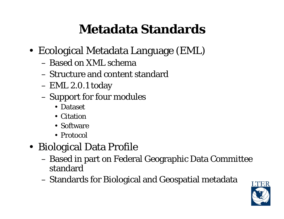### **Metadata Standards**

- Ecological Metadata Language (EML)
	- Based on XML schema
	- Structure and content standard
	- EML 2.0.1 today
	- Support for four modules
		- Dataset
		- Citation
		- Software
		- Protocol
- Biological Data Profile
	- Based in part on Federal Geographic Data Committee standard
	- Standards for Biological and Geospatial metadata

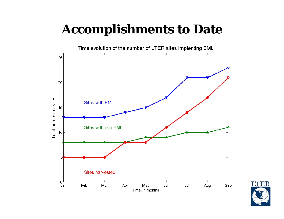#### **Accomplishments to Date**



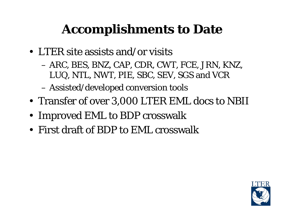## **Accomplishments to Date**

- LTER site assists and/or visits
	- ARC, BES, BNZ, CAP, CDR, CWT, FCE, JRN, KNZ, LUQ, NTL, NWT, PIE, SBC, SEV, SGS and VCR
	- Assisted/developed conversion tools
- Transfer of over 3,000 LTER EML docs to NBII
- Improved EML to BDP crosswalk
- First draft of BDP to EML crosswalk